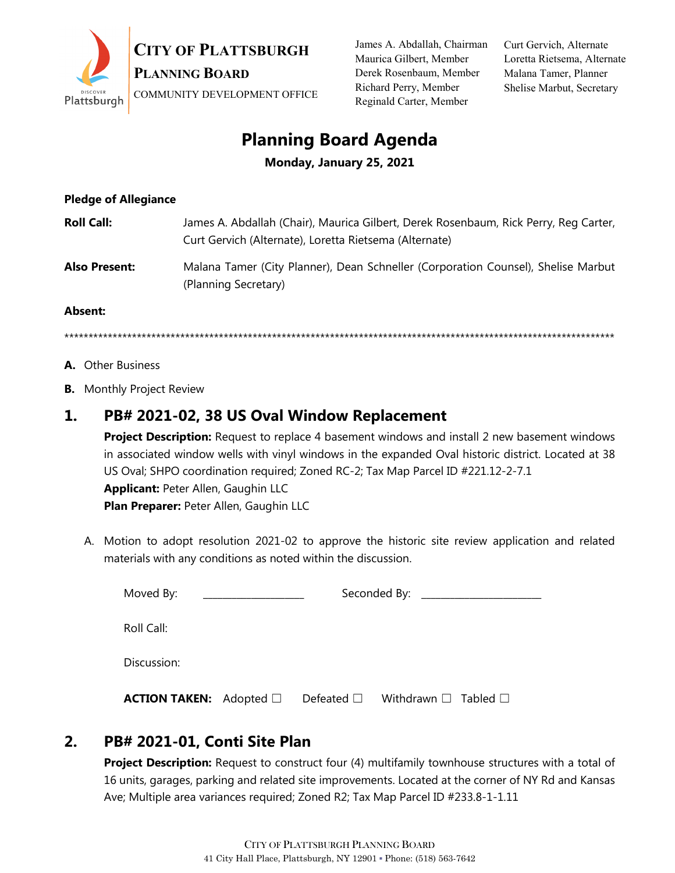

James A. Abdallah, Chairman Maurica Gilbert, Member Derek Rosenbaum, Member Richard Perry, Member Reginald Carter, Member

Curt Gervich, Alternate Loretta Rietsema, Alternate Malana Tamer, Planner Shelise Marbut, Secretary

# **Planning Board Agenda**

**Monday, January 25, 2021**

#### **Pledge of Allegiance**

| <b>Roll Call:</b>    | James A. Abdallah (Chair), Maurica Gilbert, Derek Rosenbaum, Rick Perry, Reg Carter,<br>Curt Gervich (Alternate), Loretta Rietsema (Alternate) |
|----------------------|------------------------------------------------------------------------------------------------------------------------------------------------|
| <b>Also Present:</b> | Malana Tamer (City Planner), Dean Schneller (Corporation Counsel), Shelise Marbut<br>(Planning Secretary)                                      |
| - -                  |                                                                                                                                                |

#### **Absent:**

\*\*\*\*\*\*\*\*\*\*\*\*\*\*\*\*\*\*\*\*\*\*\*\*\*\*\*\*\*\*\*\*\*\*\*\*\*\*\*\*\*\*\*\*\*\*\*\*\*\*\*\*\*\*\*\*\*\*\*\*\*\*\*\*\*\*\*\*\*\*\*\*\*\*\*\*\*\*\*\*\*\*\*\*\*\*\*\*\*\*\*\*\*\*\*\*\*\*\*\*\*\*\*\*\*\*\*\*\*\*\*\*\*\*

- **A.** Other Business
- **B.** Monthly Project Review

## **1. PB# 2021-02, 38 US Oval Window Replacement**

**Project Description:** Request to replace 4 basement windows and install 2 new basement windows in associated window wells with vinyl windows in the expanded Oval historic district. Located at 38 US Oval; SHPO coordination required; Zoned RC-2; Tax Map Parcel ID #221.12-2-7.1 **Applicant:** Peter Allen, Gaughin LLC **Plan Preparer: Peter Allen, Gaughin LLC** 

A. Motion to adopt resolution 2021-02 to approve the historic site review application and related materials with any conditions as noted within the discussion.

| Moved By:                           |  | Seconded By: ____________                               |  |
|-------------------------------------|--|---------------------------------------------------------|--|
| Roll Call:                          |  |                                                         |  |
| Discussion:                         |  |                                                         |  |
| <b>ACTION TAKEN:</b> Adopted $\Box$ |  | Defeated $\square$ Withdrawn $\square$ Tabled $\square$ |  |

## **2. PB# 2021-01, Conti Site Plan**

**Project Description:** Request to construct four (4) multifamily townhouse structures with a total of 16 units, garages, parking and related site improvements. Located at the corner of NY Rd and Kansas Ave; Multiple area variances required; Zoned R2; Tax Map Parcel ID #233.8-1-1.11